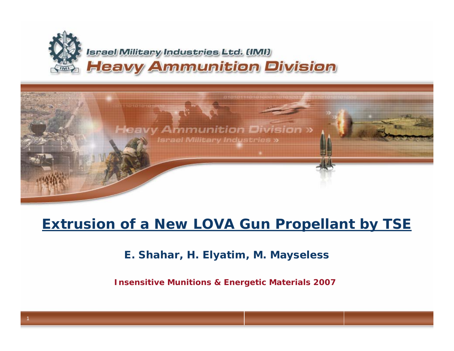



0101011101010000110101011

#### **Extrusion of a New LOVA Gun Propellant by TSE**

**E. Shahar, H. Elyatim, M. Mayseless**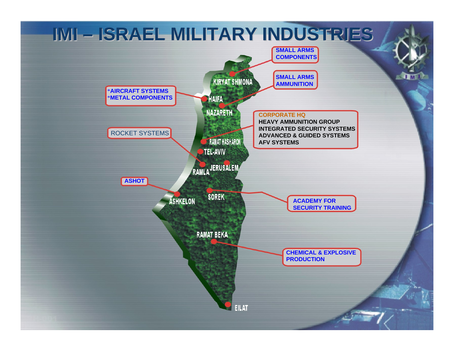## **IMI – ISRAEL MILITARY INDUSTRIES IMI –ISRAEL MILITARY INDUSTRIES ISRAEL INDUSTRIES**

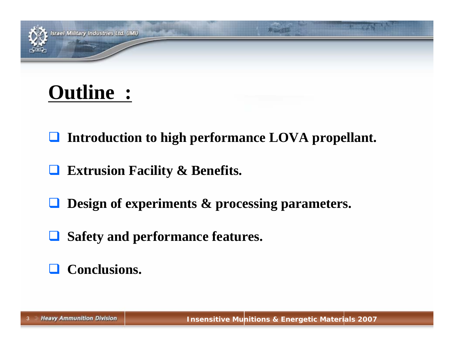## **Outline :**

- **Introduction to high performance LOVA propellant.**
- $\Box$ **Extrusion Facility & Benefits.**
- $\Box$ **Design of experiments & processing parameters.**
- $\Box$ **Safety and performance features.**

### **Conclusions.**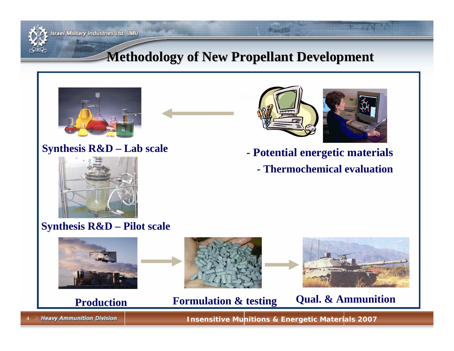

#### **Srael Military Industries Ltd. (IMI)**

#### **Methodology of New Propellant Development Methodology of New Propellant Development**



#### **Synthesis R&D – Lab scale**



#### **Synthesis R&D – Pilot scale**



4

**Insensitive Munitions & Energetic Materials 2007** 

**- Potential energetic materials**

**- Thermochemical evaluation**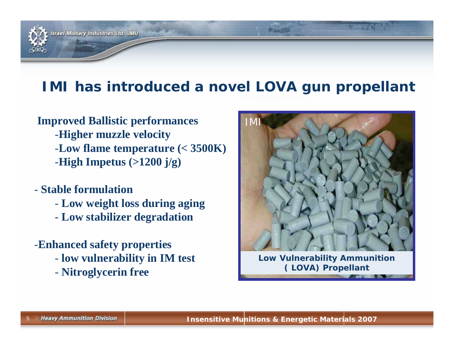

#### **IMI has introduced a novel LOVA gun propellant**

#### **Improved Ballistic performances** -**Higher muzzle velocity**  -**Low flame temperature (< 3500K)** -**High Impetus (>1200 j/g)**

#### - **Stable formulation**

- **Low weight loss during aging**
- **Low stabilizer degradation**
- -**Enhanced safety properties**
	- **low vulnerability in IM test**
	- **Nitroglycerin free**



**Low Vulnerability Ammunition ( LOVA) Propellant**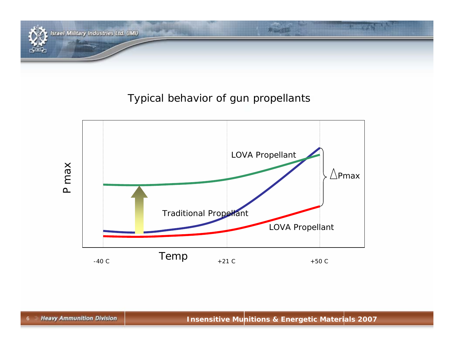

#### Typical behavior of gun propellants



6 Heavy Ammunition Division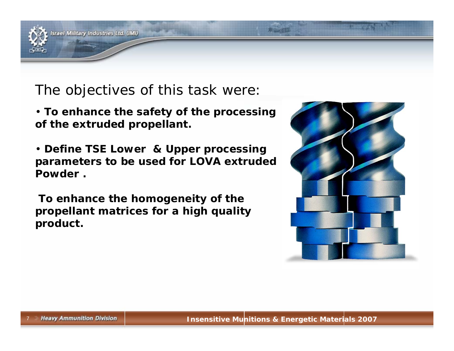

#### The objectives of this task were:

- **To enhance the safety of the processing of the extruded propellant.**
- **Define TSE Lower & Upper processing parameters to be used for LOVA extruded Powder .**
- **To enhance the homogeneity of the propellant matrices for a high quality product.**

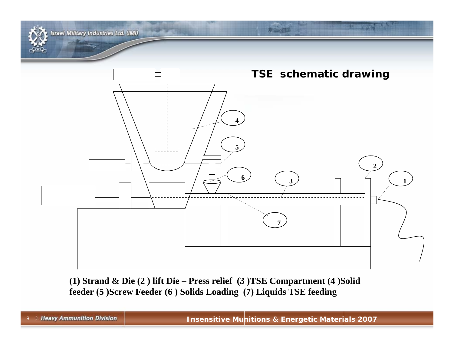

 $(1)$  Strand & Die  $(2)$  lift Die – Press relief  $(3)$  TSE Compartment  $(4)$  Solid feeder (5) Screw Feeder (6) Solids Loading (7) Liquids TSE feeding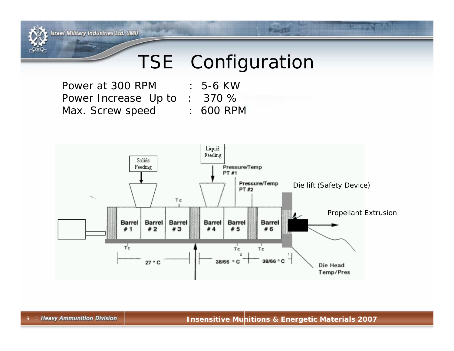**Israel Military Industries Ltd. (IMI)** 

## TSE Configuration

Power at 300 RPM Power Increase Up to : 370 % Max. Screw speed : 600 RPM



- 
- 

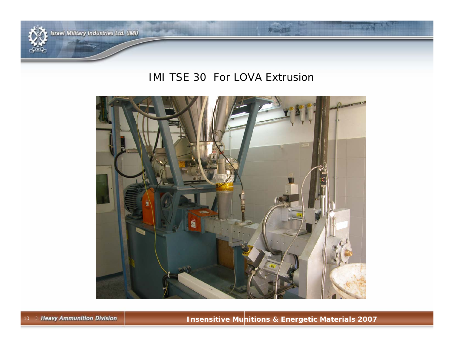

**Israel Military Industries Ltd. (IMI)** 

#### IMI TSE 30 For LOVA Extrusion

井山江山

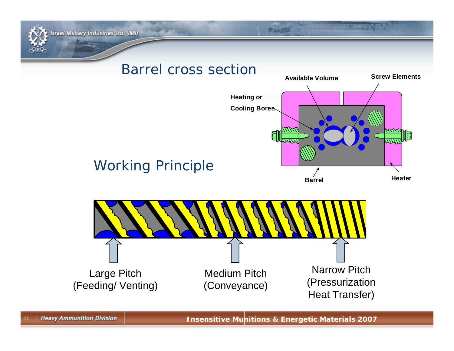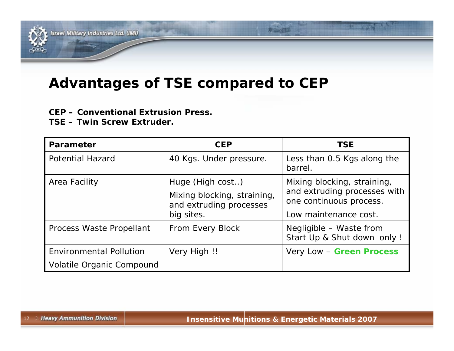

#### **Advantages of TSE compared to CEP**

#### **CEP – Conventional Extrusion Press.**

**TSE – Twin Screw Extruder.**

| <b>Parameter</b>               | <b>CEP</b>                                             | <b>TSE</b>                                              |  |  |
|--------------------------------|--------------------------------------------------------|---------------------------------------------------------|--|--|
| <b>Potential Hazard</b>        | 40 Kgs. Under pressure.                                | Less than 0.5 Kgs along the<br>barrel.                  |  |  |
| Area Facility                  | Huge (High cost)                                       | Mixing blocking, straining,                             |  |  |
|                                | Mixing blocking, straining,<br>and extruding processes | and extruding processes with<br>one continuous process. |  |  |
|                                | big sites.                                             | Low maintenance cost.                                   |  |  |
| Process Waste Propellant       | From Every Block                                       | Negligible - Waste from<br>Start Up & Shut down only !  |  |  |
| <b>Environmental Pollution</b> | Very High !!                                           | Very Low - Green Process                                |  |  |
| Volatile Organic Compound      |                                                        |                                                         |  |  |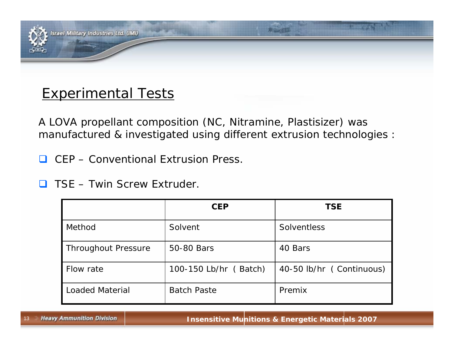

#### **Experimental Tests**

A LOVA propellant composition (NC, Nitramine, Plastisizer) was manufactured & investigated using different extrusion technologies :

 $\Box$ CEP – Conventional Extrusion Press.

 $\Box$ TSE – Twin Screw Extruder.

|                            | <b>CEP</b>            | <b>TSE</b>               |  |  |
|----------------------------|-----------------------|--------------------------|--|--|
| Method                     | Solvent               | <b>Solventless</b>       |  |  |
| <b>Throughout Pressure</b> | 50-80 Bars            | 40 Bars                  |  |  |
| Flow rate                  | 100-150 Lb/hr (Batch) | 40-50 lb/hr (Continuous) |  |  |
| <b>Loaded Material</b>     | <b>Batch Paste</b>    | Premix                   |  |  |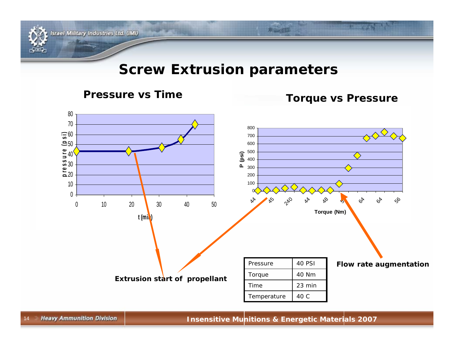

**Israel Military Industries Ltd. (IMI)** 

#### **Screw Extrusion parameters**

#### **Pressure vs Time Torque vs Pressure**

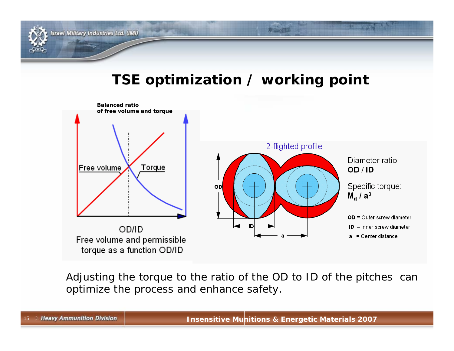

#### **TSE optimization / working point**



Adjusting the torque to the ratio of the OD to ID of the pitches can optimize the process and enhance safety.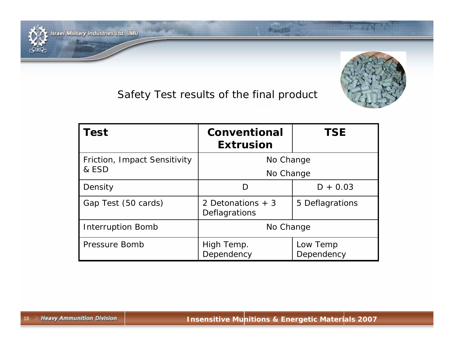



| <b>Test</b>                           | <b>Conventional</b><br><b>Extrusion</b> | <b>TSE</b>             |  |
|---------------------------------------|-----------------------------------------|------------------------|--|
| Friction, Impact Sensitivity<br>& ESD | No Change<br>No Change                  |                        |  |
| Density                               | D                                       | $D + 0.03$             |  |
| Gap Test (50 cards)                   | 2 Detonations $+3$<br>Deflagrations     | 5 Deflagrations        |  |
| <b>Interruption Bomb</b>              | No Change                               |                        |  |
| Pressure Bomb                         | High Temp.<br>Dependency                | Low Temp<br>Dependency |  |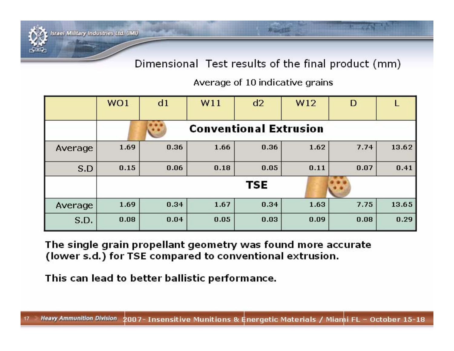Dimensional Test results of the final product (mm)

Average of 10 indicative grains

|         | WO1                           | d1   | W11  | d2   | W12  | D    |       |  |
|---------|-------------------------------|------|------|------|------|------|-------|--|
|         | <b>Conventional Extrusion</b> |      |      |      |      |      |       |  |
| Average | 1.69                          | 0.36 | 1.66 | 0.36 | 1.62 | 7.74 | 13.62 |  |
| S.D     | 0.15                          | 0.06 | 0.18 | 0.05 | 0.11 | 0.07 | 0.41  |  |
|         | <b>TSE</b>                    |      |      |      |      |      |       |  |
| Average | 1.69                          | 0.34 | 1.67 | 0.34 | 1.63 | 7.75 | 13.65 |  |
| S.D.    | 0.08                          | 0.04 | 0.05 | 0.03 | 0.09 | 0.08 | 0.29  |  |

The single grain propellant geometry was found more accurate (lower s.d.) for TSE compared to conventional extrusion.

This can lead to better ballistic performance.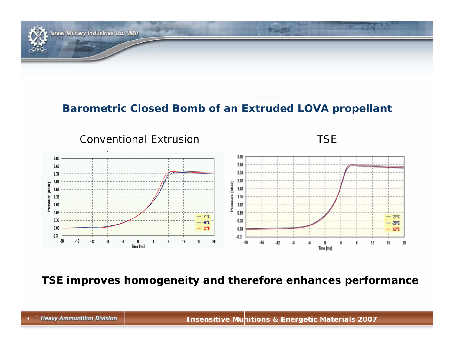

#### **Barometric Closed Bomb of an Extruded LOVA propellant**



**TSE improves homogeneity and therefore enhances performance**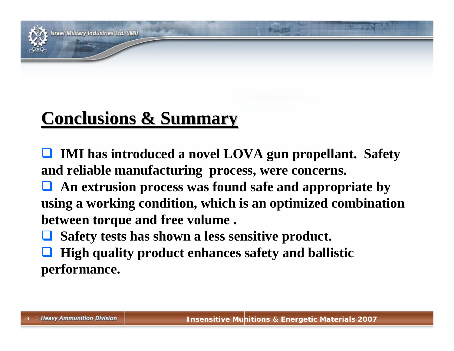

#### srael Military Industries Ltd. (IMI)

## **Conclusions & Summary Conclusions & Summary**

 **IMI has introduced a novel LOVA gun propellant. Safety and reliable manufacturing process, were concerns.**

 **An extrusion process was found safe and appropriate by using a working condition, which is an optimized combination between torque and free volume .**

 $\Box$ **Safety tests has shown a less sensitive product.**

 $\Box$  **High quality product enhances safety and ballistic performance.**